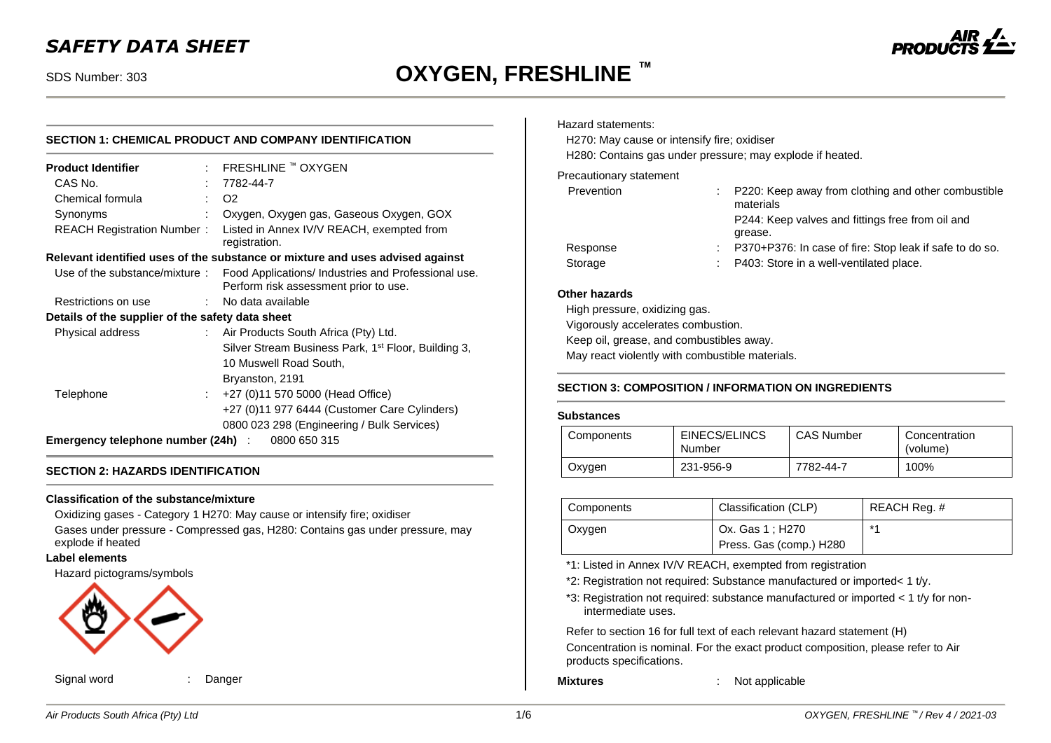## *SAFETY DATA SHEET*

# SDS Number: 303 **OXYGEN, FRESHLINE ™**



## **SECTION 1: CHEMICAL PRODUCT AND COMPANY IDENTIFICATION**

| <b>Product Identifier</b>                                                     |                                                  | <b>FRESHLINE ™ OXYGEN</b>                                                                                                  |  |  |  |  |
|-------------------------------------------------------------------------------|--------------------------------------------------|----------------------------------------------------------------------------------------------------------------------------|--|--|--|--|
| CAS No.                                                                       |                                                  | 7782-44-7                                                                                                                  |  |  |  |  |
| Chemical formula                                                              |                                                  | O <sub>2</sub>                                                                                                             |  |  |  |  |
| Synonyms                                                                      |                                                  | Oxygen, Oxygen gas, Gaseous Oxygen, GOX                                                                                    |  |  |  |  |
| REACH Registration Number:                                                    |                                                  | Listed in Annex IV/V REACH, exempted from<br>registration.                                                                 |  |  |  |  |
| Relevant identified uses of the substance or mixture and uses advised against |                                                  |                                                                                                                            |  |  |  |  |
|                                                                               |                                                  | Use of the substance/mixture: Food Applications/ Industries and Professional use.<br>Perform risk assessment prior to use. |  |  |  |  |
| Restrictions on use<br>No data available<br>$\mathbb{R}^{\mathbb{Z}}$         |                                                  |                                                                                                                            |  |  |  |  |
|                                                                               | Details of the supplier of the safety data sheet |                                                                                                                            |  |  |  |  |
| Physical address                                                              |                                                  | : Air Products South Africa (Pty) Ltd.                                                                                     |  |  |  |  |
|                                                                               |                                                  | Silver Stream Business Park, 1 <sup>st</sup> Floor, Building 3,                                                            |  |  |  |  |
|                                                                               |                                                  | 10 Muswell Road South,                                                                                                     |  |  |  |  |
|                                                                               |                                                  | Bryanston, 2191                                                                                                            |  |  |  |  |
| Telephone                                                                     |                                                  | +27 (0)11 570 5000 (Head Office)                                                                                           |  |  |  |  |
|                                                                               |                                                  | +27 (0)11 977 6444 (Customer Care Cylinders)                                                                               |  |  |  |  |
|                                                                               |                                                  | 0800 023 298 (Engineering / Bulk Services)                                                                                 |  |  |  |  |
| <b>Emergency telephone number (24h)</b> :<br>0800 650 315                     |                                                  |                                                                                                                            |  |  |  |  |

#### **SECTION 2: HAZARDS IDENTIFICATION**

#### **Classification of the substance/mixture**

Oxidizing gases - Category 1 H270: May cause or intensify fire; oxidiser Gases under pressure - Compressed gas, H280: Contains gas under pressure, may explode if heated

#### **Label elements**

#### Hazard pictograms/symbols



Signal word : Danger

Hazard statements:

H270: May cause or intensify fire; oxidiser H280: Contains gas under pressure; may explode if heated.

Precautionary statement

| P220: Keep away from clothing and other combustible<br>materials                                     |
|------------------------------------------------------------------------------------------------------|
| P244: Keep valves and fittings free from oil and<br>grease.                                          |
| : P370+P376: In case of fire: Stop leak if safe to do so.<br>P403: Store in a well-ventilated place. |
|                                                                                                      |

#### **Other hazards**

High pressure, oxidizing gas. Vigorously accelerates combustion. Keep oil, grease, and combustibles away.

May react violently with combustible materials.

## **SECTION 3: COMPOSITION / INFORMATION ON INGREDIENTS**

#### **Substances**

| Components | EINECS/ELINCS<br>Number | <b>CAS Number</b> | Concentration<br>(volume) |
|------------|-------------------------|-------------------|---------------------------|
| Oxygen     | 231-956-9               | 7782-44-7         | 100%                      |

| Components | Classification (CLP)                        | REACH Reg. # |
|------------|---------------------------------------------|--------------|
| Oxygen     | Ox. Gas 1 : H270<br>Press. Gas (comp.) H280 | $*$          |

\*1: Listed in Annex IV/V REACH, exempted from registration

\*2: Registration not required: Substance manufactured or imported< 1 t/y.

\*3: Registration not required: substance manufactured or imported < 1 t/y for nonintermediate uses.

Refer to section 16 for full text of each relevant hazard statement (H)

Concentration is nominal. For the exact product composition, please refer to Air products specifications.

**Mixtures** : Not applicable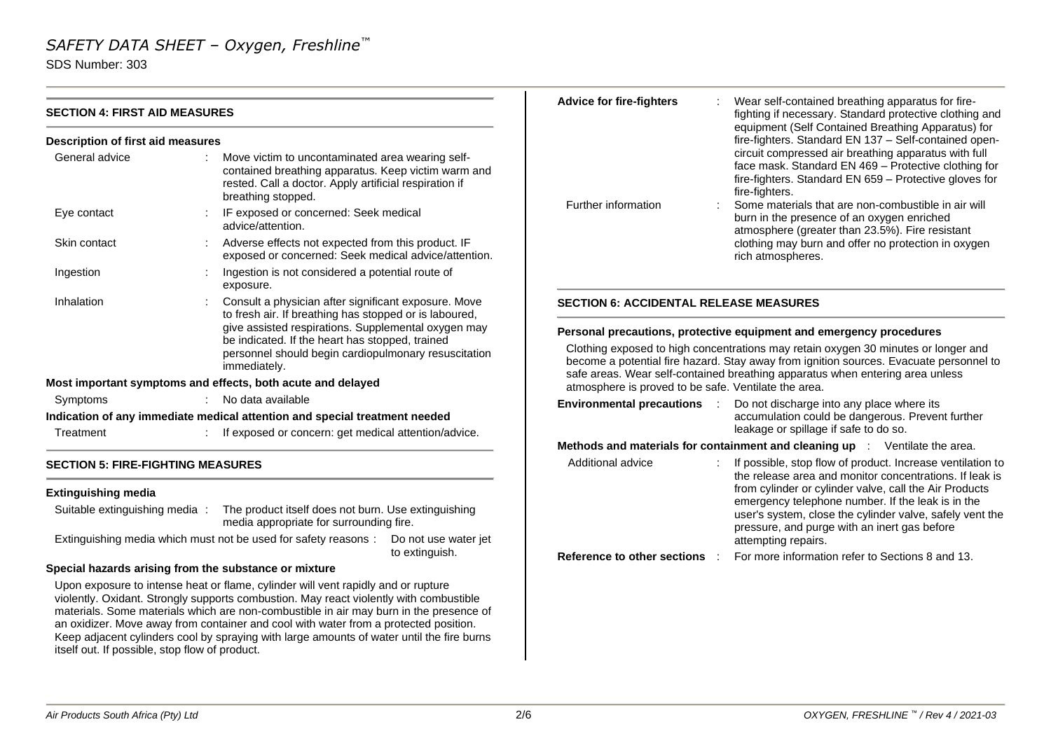## *SAFETY DATA SHEET – Oxygen, Freshline™*

SDS Number: 303

| <b>SECTION 4: FIRST AID MEASURES</b>                                                                                             |                                                                                                            |                                                                                                                                                                                                                                                                                                                                                                                                                                                            | <b>Advice for fire-fighters</b>                                                                                                                                                                                                                                                                                                                                                                                                               | Wear self-contained breathing apparatus for fire-<br>fighting if necessary. Standard protective clothing and |                                                                                                                                                                                                                                                 |  |
|----------------------------------------------------------------------------------------------------------------------------------|------------------------------------------------------------------------------------------------------------|------------------------------------------------------------------------------------------------------------------------------------------------------------------------------------------------------------------------------------------------------------------------------------------------------------------------------------------------------------------------------------------------------------------------------------------------------------|-----------------------------------------------------------------------------------------------------------------------------------------------------------------------------------------------------------------------------------------------------------------------------------------------------------------------------------------------------------------------------------------------------------------------------------------------|--------------------------------------------------------------------------------------------------------------|-------------------------------------------------------------------------------------------------------------------------------------------------------------------------------------------------------------------------------------------------|--|
| <b>Description of first aid measures</b>                                                                                         |                                                                                                            |                                                                                                                                                                                                                                                                                                                                                                                                                                                            |                                                                                                                                                                                                                                                                                                                                                                                                                                               |                                                                                                              | equipment (Self Contained Breathing Apparatus) for<br>fire-fighters. Standard EN 137 - Self-contained open-                                                                                                                                     |  |
| General advice                                                                                                                   |                                                                                                            | Move victim to uncontaminated area wearing self-<br>contained breathing apparatus. Keep victim warm and<br>rested. Call a doctor. Apply artificial respiration if<br>breathing stopped.                                                                                                                                                                                                                                                                    | Further information                                                                                                                                                                                                                                                                                                                                                                                                                           |                                                                                                              | circuit compressed air breathing apparatus with full<br>face mask. Standard EN 469 - Protective clothing for<br>fire-fighters. Standard EN 659 - Protective gloves for<br>fire-fighters.<br>Some materials that are non-combustible in air will |  |
| Eye contact                                                                                                                      | IF exposed or concerned: Seek medical<br>advice/attention.                                                 |                                                                                                                                                                                                                                                                                                                                                                                                                                                            |                                                                                                                                                                                                                                                                                                                                                                                                                                               | burn in the presence of an oxygen enriched<br>atmosphere (greater than 23.5%). Fire resistant                |                                                                                                                                                                                                                                                 |  |
| Skin contact                                                                                                                     | Adverse effects not expected from this product. IF<br>exposed or concerned: Seek medical advice/attention. |                                                                                                                                                                                                                                                                                                                                                                                                                                                            |                                                                                                                                                                                                                                                                                                                                                                                                                                               | clothing may burn and offer no protection in oxygen<br>rich atmospheres.                                     |                                                                                                                                                                                                                                                 |  |
| Ingestion                                                                                                                        |                                                                                                            | Ingestion is not considered a potential route of<br>exposure.                                                                                                                                                                                                                                                                                                                                                                                              |                                                                                                                                                                                                                                                                                                                                                                                                                                               |                                                                                                              |                                                                                                                                                                                                                                                 |  |
| Inhalation                                                                                                                       |                                                                                                            | Consult a physician after significant exposure. Move<br>to fresh air. If breathing has stopped or is laboured,                                                                                                                                                                                                                                                                                                                                             | <b>SECTION 6: ACCIDENTAL RELEASE MEASURES</b><br>Personal precautions, protective equipment and emergency procedures<br>Clothing exposed to high concentrations may retain oxygen 30 minutes or longer and<br>become a potential fire hazard. Stay away from ignition sources. Evacuate personnel to<br>safe areas. Wear self-contained breathing apparatus when entering area unless<br>atmosphere is proved to be safe. Ventilate the area. |                                                                                                              |                                                                                                                                                                                                                                                 |  |
|                                                                                                                                  |                                                                                                            | give assisted respirations. Supplemental oxygen may<br>be indicated. If the heart has stopped, trained<br>personnel should begin cardiopulmonary resuscitation<br>immediately.<br>Most important symptoms and effects, both acute and delayed                                                                                                                                                                                                              |                                                                                                                                                                                                                                                                                                                                                                                                                                               |                                                                                                              |                                                                                                                                                                                                                                                 |  |
| Symptoms                                                                                                                         |                                                                                                            | : No data available                                                                                                                                                                                                                                                                                                                                                                                                                                        | <b>Environmental precautions :</b>                                                                                                                                                                                                                                                                                                                                                                                                            |                                                                                                              | Do not discharge into any place where its                                                                                                                                                                                                       |  |
| Treatment                                                                                                                        |                                                                                                            | Indication of any immediate medical attention and special treatment needed<br>: If exposed or concern: get medical attention/advice.                                                                                                                                                                                                                                                                                                                       |                                                                                                                                                                                                                                                                                                                                                                                                                                               |                                                                                                              | accumulation could be dangerous. Prevent further<br>leakage or spillage if safe to do so.                                                                                                                                                       |  |
|                                                                                                                                  |                                                                                                            |                                                                                                                                                                                                                                                                                                                                                                                                                                                            |                                                                                                                                                                                                                                                                                                                                                                                                                                               |                                                                                                              | Methods and materials for containment and cleaning up : Ventilate the area.                                                                                                                                                                     |  |
| <b>SECTION 5: FIRE-FIGHTING MEASURES</b>                                                                                         |                                                                                                            |                                                                                                                                                                                                                                                                                                                                                                                                                                                            | Additional advice                                                                                                                                                                                                                                                                                                                                                                                                                             | ÷                                                                                                            | If possible, stop flow of product. Increase ventilation to<br>the release area and monitor concentrations. If leak is<br>from cylinder or cylinder valve, call the Air Products<br>emergency telephone number. If the leak is in the            |  |
| <b>Extinguishing media</b>                                                                                                       |                                                                                                            |                                                                                                                                                                                                                                                                                                                                                                                                                                                            |                                                                                                                                                                                                                                                                                                                                                                                                                                               |                                                                                                              |                                                                                                                                                                                                                                                 |  |
| Suitable extinguishing media :<br>The product itself does not burn. Use extinguishing<br>media appropriate for surrounding fire. |                                                                                                            |                                                                                                                                                                                                                                                                                                                                                                                                                                                            |                                                                                                                                                                                                                                                                                                                                                                                                                                               | user's system, close the cylinder valve, safely vent the<br>pressure, and purge with an inert gas before     |                                                                                                                                                                                                                                                 |  |
|                                                                                                                                  |                                                                                                            | Extinguishing media which must not be used for safety reasons :  Do not use water jet<br>to extinguish.                                                                                                                                                                                                                                                                                                                                                    | Reference to other sections :                                                                                                                                                                                                                                                                                                                                                                                                                 |                                                                                                              | attempting repairs.<br>For more information refer to Sections 8 and 13.                                                                                                                                                                         |  |
|                                                                                                                                  |                                                                                                            | Special hazards arising from the substance or mixture                                                                                                                                                                                                                                                                                                                                                                                                      |                                                                                                                                                                                                                                                                                                                                                                                                                                               |                                                                                                              |                                                                                                                                                                                                                                                 |  |
| itself out. If possible, stop flow of product.                                                                                   |                                                                                                            | Upon exposure to intense heat or flame, cylinder will vent rapidly and or rupture<br>violently. Oxidant. Strongly supports combustion. May react violently with combustible<br>materials. Some materials which are non-combustible in air may burn in the presence of<br>an oxidizer. Move away from container and cool with water from a protected position.<br>Keep adjacent cylinders cool by spraying with large amounts of water until the fire burns |                                                                                                                                                                                                                                                                                                                                                                                                                                               |                                                                                                              |                                                                                                                                                                                                                                                 |  |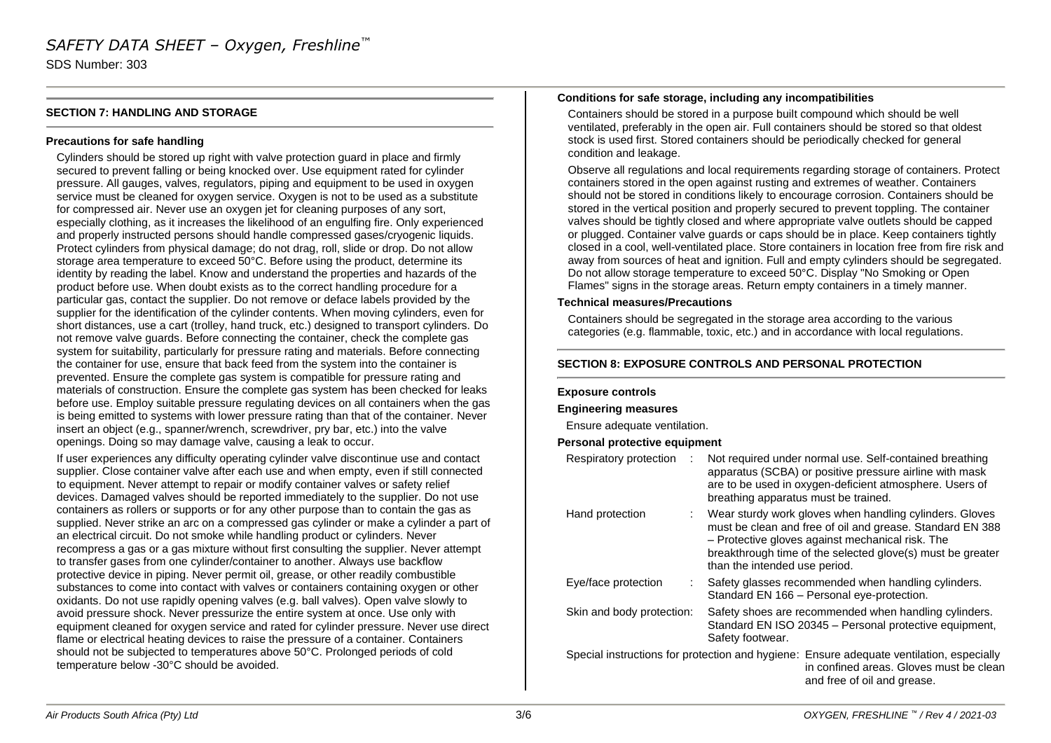## **SECTION 7: HANDLING AND STORAGE**

### **Precautions for safe handling**

Cylinders should be stored up right with valve protection guard in place and firmly secured to prevent falling or being knocked over. Use equipment rated for cylinder pressure. All gauges, valves, regulators, piping and equipment to be used in oxygen service must be cleaned for oxygen service. Oxygen is not to be used as a substitute for compressed air. Never use an oxygen jet for cleaning purposes of any sort, especially clothing, as it increases the likelihood of an engulfing fire. Only experienced and properly instructed persons should handle compressed gases/cryogenic liquids. Protect cylinders from physical damage; do not drag, roll, slide or drop. Do not allow storage area temperature to exceed 50°C. Before using the product, determine its identity by reading the label. Know and understand the properties and hazards of the product before use. When doubt exists as to the correct handling procedure for a particular gas, contact the supplier. Do not remove or deface labels provided by the supplier for the identification of the cylinder contents. When moving cylinders, even for short distances, use a cart (trolley, hand truck, etc.) designed to transport cylinders. Do not remove valve guards. Before connecting the container, check the complete gas system for suitability, particularly for pressure rating and materials. Before connecting the container for use, ensure that back feed from the system into the container is prevented. Ensure the complete gas system is compatible for pressure rating and materials of construction. Ensure the complete gas system has been checked for leaks before use. Employ suitable pressure regulating devices on all containers when the gas is being emitted to systems with lower pressure rating than that of the container. Never insert an object (e.g., spanner/wrench, screwdriver, pry bar, etc.) into the valve openings. Doing so may damage valve, causing a leak to occur.

If user experiences any difficulty operating cylinder valve discontinue use and contact supplier. Close container valve after each use and when empty, even if still connected to equipment. Never attempt to repair or modify container valves or safety relief devices. Damaged valves should be reported immediately to the supplier. Do not use containers as rollers or supports or for any other purpose than to contain the gas as supplied. Never strike an arc on a compressed gas cylinder or make a cylinder a part of an electrical circuit. Do not smoke while handling product or cylinders. Never recompress a gas or a gas mixture without first consulting the supplier. Never attempt to transfer gases from one cylinder/container to another. Always use backflow protective device in piping. Never permit oil, grease, or other readily combustible substances to come into contact with valves or containers containing oxygen or other oxidants. Do not use rapidly opening valves (e.g. ball valves). Open valve slowly to avoid pressure shock. Never pressurize the entire system at once. Use only with equipment cleaned for oxygen service and rated for cylinder pressure. Never use direct flame or electrical heating devices to raise the pressure of a container. Containers should not be subjected to temperatures above 50°C. Prolonged periods of cold temperature below -30°C should be avoided.

#### **Conditions for safe storage, including any incompatibilities**

Containers should be stored in a purpose built compound which should be well ventilated, preferably in the open air. Full containers should be stored so that oldest stock is used first. Stored containers should be periodically checked for general condition and leakage.

Observe all regulations and local requirements regarding storage of containers. Protect containers stored in the open against rusting and extremes of weather. Containers should not be stored in conditions likely to encourage corrosion. Containers should be stored in the vertical position and properly secured to prevent toppling. The container valves should be tightly closed and where appropriate valve outlets should be capped or plugged. Container valve guards or caps should be in place. Keep containers tightly closed in a cool, well-ventilated place. Store containers in location free from fire risk and away from sources of heat and ignition. Full and empty cylinders should be segregated. Do not allow storage temperature to exceed 50°C. Display "No Smoking or Open Flames" signs in the storage areas. Return empty containers in a timely manner.

#### **Technical measures/Precautions**

Containers should be segregated in the storage area according to the various categories (e.g. flammable, toxic, etc.) and in accordance with local regulations.

## **SECTION 8: EXPOSURE CONTROLS AND PERSONAL PROTECTION**

#### **Exposure controls**

#### **Engineering measures**

Ensure adequate ventilation.

#### **Personal protective equipment**

| Respiratory protection    | breathing apparatus must be trained.                                                                                                                                                                                                                                      | Not required under normal use. Self-contained breathing<br>apparatus (SCBA) or positive pressure airline with mask<br>are to be used in oxygen-deficient atmosphere. Users of |  |
|---------------------------|---------------------------------------------------------------------------------------------------------------------------------------------------------------------------------------------------------------------------------------------------------------------------|-------------------------------------------------------------------------------------------------------------------------------------------------------------------------------|--|
| Hand protection           | : Wear sturdy work gloves when handling cylinders. Gloves<br>must be clean and free of oil and grease. Standard EN 388<br>- Protective gloves against mechanical risk. The<br>breakthrough time of the selected glove(s) must be greater<br>than the intended use period. |                                                                                                                                                                               |  |
| Eye/face protection       |                                                                                                                                                                                                                                                                           | Safety glasses recommended when handling cylinders.<br>Standard EN 166 - Personal eye-protection.                                                                             |  |
| Skin and body protection: | Safety shoes are recommended when handling cylinders.<br>Standard EN ISO 20345 - Personal protective equipment,<br>Safety footwear.                                                                                                                                       |                                                                                                                                                                               |  |
|                           |                                                                                                                                                                                                                                                                           | Special instructions for protection and hygiene: Ensure adequate ventilation, especially<br>in confined areas. Gloves must be clean<br>and free of oil and grease.            |  |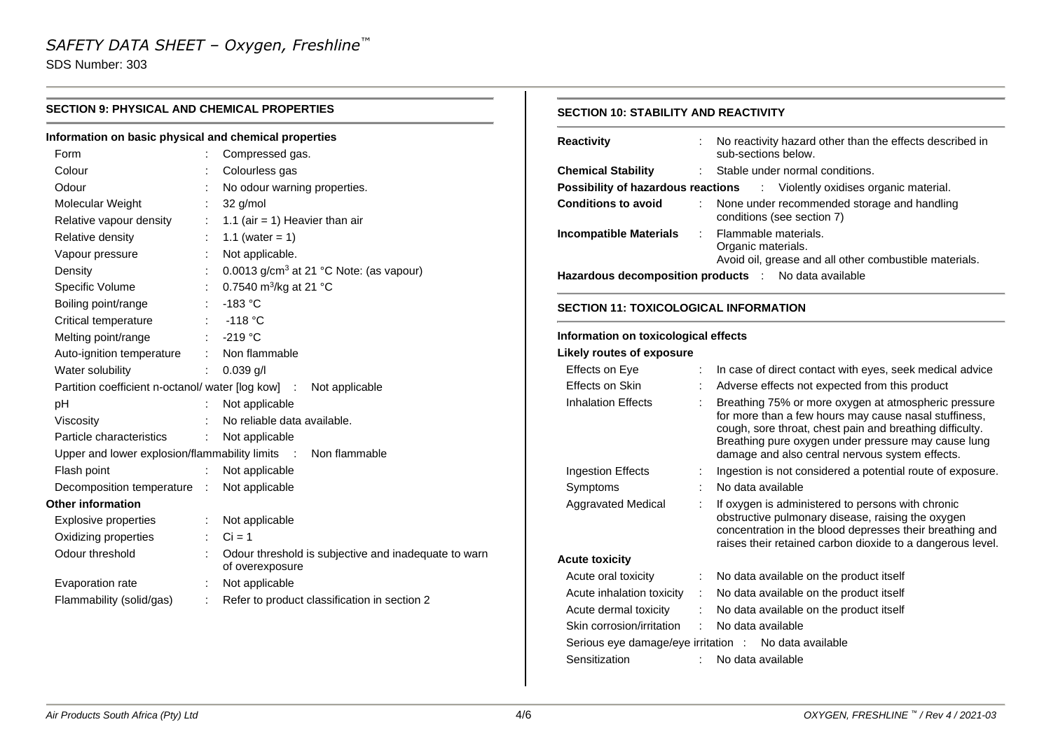## *SAFETY DATA SHEET – Oxygen, Freshline™*

SDS Number: 303

#### **SECTION 9: PHYSICAL AND CHEMICAL PROPERTIES Information on basic physical and chemical properties** Form : Compressed gas. Colour : Colourless gas Odour : No odour warning properties. Molecular Weight : 32 g/mol Relative vapour density  $\therefore$  1.1 (air = 1) Heavier than air Relative density  $\therefore$  1.1 (water = 1) Vapour pressure : Not applicable. Density : 0.0013 g/cm<sup>3</sup> at 21 °C Note: (as vapour) Specific Volume 0.7540  $m^3$ /kg at 21 °C Boiling point/range : -183 °C Critical temperature : -118 °C Melting point/range : -219 °C Auto-ignition temperature : Non flammable Water solubility : 0.039 g/l Partition coefficient n-octanol/ water [log kow] : Not applicable pH : Not applicable Viscosity : No reliable data available. Particle characteristics : Not applicable Upper and lower explosion/flammability limits : Non flammable Flash point : Not applicable Decomposition temperature : Not applicable **Other information** Explosive properties : Not applicable Oxidizing properties  $\therefore$  Ci = 1 Odour threshold : Odour threshold is subjective and inadequate to warn of overexposure Evaporation rate : Not applicable Flammability (solid/gas) : Refer to product classification in section 2 **SECTION 10: STABILITY AND REACTIVITY Reactivity** : No reactivity hazard other than the effects described in sub-sections below. **Chemical Stability** : Stable under normal conditions. **Possibility of hazardous reactions** : Violently oxidises organic material. **Conditions to avoid** : None under recommended storage and handling conditions (see section 7) **Incompatible Materials** : Flammable materials. Organic materials. Avoid oil, grease and all other combustible materials. **Hazardous decomposition products** : No data available **SECTION 11: TOXICOLOGICAL INFORMATION Information on toxicological effects Likely routes of exposure** Effects on Eye : In case of direct contact with eyes, seek medical advice Effects on Skin : Adverse effects not expected from this product Inhalation Effects : Breathing 75% or more oxygen at atmospheric pressure for more than a few hours may cause nasal stuffiness, cough, sore throat, chest pain and breathing difficulty. Breathing pure oxygen under pressure may cause lung damage and also central nervous system effects. Ingestion Effects : Ingestion is not considered a potential route of exposure. Symptoms : No data available Agaravated Medical : If oxygen is administered to persons with chronic obstructive pulmonary disease, raising the oxygen concentration in the blood depresses their breathing and raises their retained carbon dioxide to a dangerous level. **Acute toxicity** Acute oral toxicity : No data available on the product itself Acute inhalation toxicity : No data available on the product itself Acute dermal toxicity : No data available on the product itself Skin corrosion/irritation : No data available Serious eye damage/eye irritation : No data available Sensitization : No data available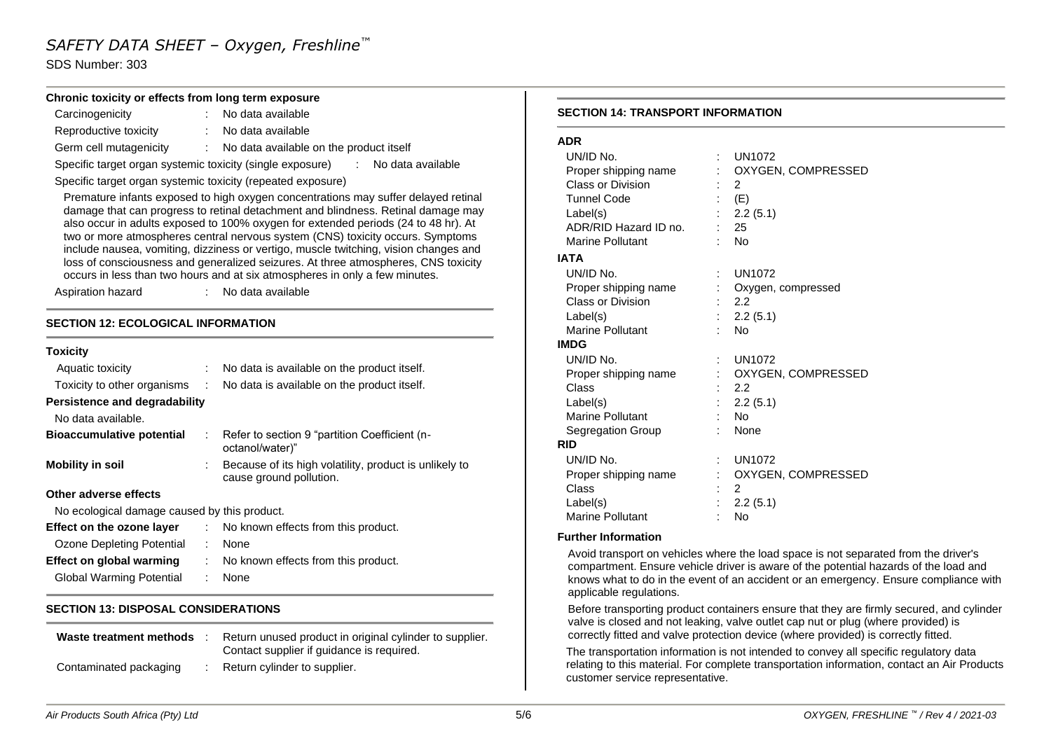SDS Number: 303

| Chronic toxicity or effects from long term exposure |                                                                                      |                                                                                                                                                                             |                                                                                          |  |  |
|-----------------------------------------------------|--------------------------------------------------------------------------------------|-----------------------------------------------------------------------------------------------------------------------------------------------------------------------------|------------------------------------------------------------------------------------------|--|--|
| Carcinogenicity                                     | No data available                                                                    | <b>SECTION 14: TRANSPORT INFORMATION</b>                                                                                                                                    |                                                                                          |  |  |
| Reproductive toxicity                               | : No data available                                                                  |                                                                                                                                                                             |                                                                                          |  |  |
| Germ cell mutagenicity                              | : No data available on the product itself                                            | <b>ADR</b>                                                                                                                                                                  |                                                                                          |  |  |
|                                                     | Specific target organ systemic toxicity (single exposure) : No data available        | UN/ID No.                                                                                                                                                                   | <b>UN1072</b>                                                                            |  |  |
|                                                     | Specific target organ systemic toxicity (repeated exposure)                          | Proper shipping name                                                                                                                                                        | OXYGEN, COMPRESSED                                                                       |  |  |
|                                                     | Premature infants exposed to high oxygen concentrations may suffer delayed retinal   | Class or Division<br><b>Tunnel Code</b>                                                                                                                                     | $\overline{2}$                                                                           |  |  |
|                                                     | damage that can progress to retinal detachment and blindness. Retinal damage may     | Label(s)                                                                                                                                                                    | (E)<br>2.2(5.1)                                                                          |  |  |
|                                                     | also occur in adults exposed to 100% oxygen for extended periods (24 to 48 hr). At   | ADR/RID Hazard ID no.                                                                                                                                                       | 25                                                                                       |  |  |
|                                                     | two or more atmospheres central nervous system (CNS) toxicity occurs. Symptoms       | <b>Marine Pollutant</b>                                                                                                                                                     | <b>No</b>                                                                                |  |  |
|                                                     | include nausea, vomiting, dizziness or vertigo, muscle twitching, vision changes and | <b>IATA</b>                                                                                                                                                                 |                                                                                          |  |  |
|                                                     | loss of consciousness and generalized seizures. At three atmospheres, CNS toxicity   | UN/ID No.                                                                                                                                                                   | <b>UN1072</b>                                                                            |  |  |
|                                                     | occurs in less than two hours and at six atmospheres in only a few minutes.          | Proper shipping name                                                                                                                                                        | Oxygen, compressed                                                                       |  |  |
| Aspiration hazard                                   | : No data available                                                                  | Class or Division                                                                                                                                                           | 2.2                                                                                      |  |  |
|                                                     |                                                                                      | Label(s)                                                                                                                                                                    | 2.2(5.1)                                                                                 |  |  |
| <b>SECTION 12: ECOLOGICAL INFORMATION</b>           |                                                                                      | <b>Marine Pollutant</b>                                                                                                                                                     | No                                                                                       |  |  |
|                                                     |                                                                                      | <b>IMDG</b>                                                                                                                                                                 |                                                                                          |  |  |
| <b>Toxicity</b>                                     |                                                                                      | UN/ID No.                                                                                                                                                                   | <b>UN1072</b>                                                                            |  |  |
| Aquatic toxicity                                    | No data is available on the product itself.                                          | Proper shipping name                                                                                                                                                        | OXYGEN, COMPRESSED                                                                       |  |  |
| Toxicity to other organisms                         | No data is available on the product itself.<br>$\sim 100$                            | <b>Class</b>                                                                                                                                                                | 2.2                                                                                      |  |  |
| Persistence and degradability                       |                                                                                      | Label(s)                                                                                                                                                                    | 2.2(5.1)                                                                                 |  |  |
| No data available.                                  |                                                                                      | <b>Marine Pollutant</b>                                                                                                                                                     | No                                                                                       |  |  |
| <b>Bioaccumulative potential</b>                    | Refer to section 9 "partition Coefficient (n-                                        | Segregation Group                                                                                                                                                           | None                                                                                     |  |  |
|                                                     | octanol/water)"                                                                      | <b>RID</b>                                                                                                                                                                  |                                                                                          |  |  |
| <b>Mobility in soil</b>                             | Because of its high volatility, product is unlikely to                               | UN/ID No.                                                                                                                                                                   | <b>UN1072</b>                                                                            |  |  |
|                                                     | cause ground pollution.                                                              | Proper shipping name                                                                                                                                                        | OXYGEN, COMPRESSED                                                                       |  |  |
| Other adverse effects                               |                                                                                      | Class                                                                                                                                                                       | 2                                                                                        |  |  |
| No ecological damage caused by this product.        |                                                                                      | Label(s)                                                                                                                                                                    | 2.2(5.1)                                                                                 |  |  |
| Effect on the ozone layer                           | : No known effects from this product.                                                | <b>Marine Pollutant</b>                                                                                                                                                     | No                                                                                       |  |  |
| Ozone Depleting Potential                           | $\mathcal{L}$<br>None                                                                | <b>Further Information</b>                                                                                                                                                  |                                                                                          |  |  |
|                                                     |                                                                                      | Avoid transport on vehicles where the load space is not separated from the driver's<br>compartment. Ensure vehicle driver is aware of the potential hazards of the load and |                                                                                          |  |  |
| <b>Effect on global warming</b>                     | No known effects from this product.                                                  |                                                                                                                                                                             |                                                                                          |  |  |
| <b>Global Warming Potential</b>                     | None<br>$\mathbb{R}^{\mathbb{Z}}$                                                    | applicable regulations.                                                                                                                                                     | knows what to do in the event of an accident or an emergency. Ensure compliance with     |  |  |
| <b>SECTION 13: DISPOSAL CONSIDERATIONS</b>          |                                                                                      |                                                                                                                                                                             | Before transporting product containers ensure that they are firmly secured, and cylinder |  |  |

### Before transporting product containers ensure that they are firmly secured, and cylinder valve is closed and not leaking, valve outlet cap nut or plug (where provided) is correctly fitted and valve protection device (where provided) is correctly fitted.

The transportation information is not intended to convey all specific regulatory data relating to this material. For complete transportation information, contact an Air Products customer service representative.

**Waste treatment methods** : Return unused product in original cylinder to supplier.

Contaminated packaging : Return cylinder to supplier.

Contact supplier if guidance is required.